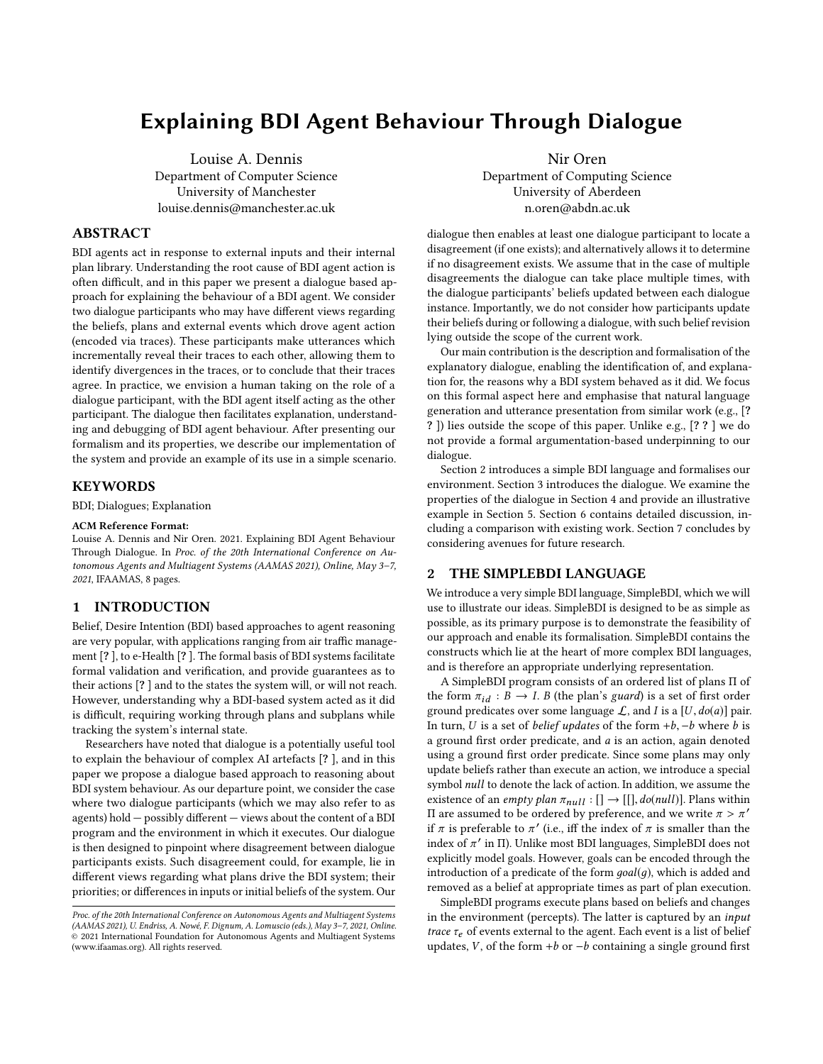# Explaining BDI Agent Behaviour Through Dialogue

Louise A. Dennis Department of Computer Science University of Manchester louise.dennis@manchester.ac.uk

## ABSTRACT

BDI agents act in response to external inputs and their internal plan library. Understanding the root cause of BDI agent action is often difficult, and in this paper we present a dialogue based approach for explaining the behaviour of a BDI agent. We consider two dialogue participants who may have different views regarding the beliefs, plans and external events which drove agent action (encoded via traces). These participants make utterances which incrementally reveal their traces to each other, allowing them to identify divergences in the traces, or to conclude that their traces agree. In practice, we envision a human taking on the role of a dialogue participant, with the BDI agent itself acting as the other participant. The dialogue then facilitates explanation, understanding and debugging of BDI agent behaviour. After presenting our formalism and its properties, we describe our implementation of the system and provide an example of its use in a simple scenario.

## **KEYWORDS**

BDI; Dialogues; Explanation

#### ACM Reference Format:

Louise A. Dennis and Nir Oren. 2021. Explaining BDI Agent Behaviour Through Dialogue. In Proc. of the 20th International Conference on Autonomous Agents and Multiagent Systems (AAMAS 2021), Online, May 3–7, 2021, IFAAMAS, [8](#page-7-0) pages.

# 1 INTRODUCTION

Belief, Desire Intention (BDI) based approaches to agent reasoning are very popular, with applications ranging from air traffic management [? ], to e-Health [? ]. The formal basis of BDI systems facilitate formal validation and verification, and provide guarantees as to their actions [? ] and to the states the system will, or will not reach. However, understanding why a BDI-based system acted as it did is difficult, requiring working through plans and subplans while tracking the system's internal state.

Researchers have noted that dialogue is a potentially useful tool to explain the behaviour of complex AI artefacts [? ], and in this paper we propose a dialogue based approach to reasoning about BDI system behaviour. As our departure point, we consider the case where two dialogue participants (which we may also refer to as agents) hold — possibly different — views about the content of a BDI program and the environment in which it executes. Our dialogue is then designed to pinpoint where disagreement between dialogue participants exists. Such disagreement could, for example, lie in different views regarding what plans drive the BDI system; their priorities; or differences in inputs or initial beliefs of the system. Our Nir Oren

Department of Computing Science University of Aberdeen n.oren@abdn.ac.uk

dialogue then enables at least one dialogue participant to locate a disagreement (if one exists); and alternatively allows it to determine if no disagreement exists. We assume that in the case of multiple disagreements the dialogue can take place multiple times, with the dialogue participants' beliefs updated between each dialogue instance. Importantly, we do not consider how participants update their beliefs during or following a dialogue, with such belief revision lying outside the scope of the current work.

Our main contribution is the description and formalisation of the explanatory dialogue, enabling the identification of, and explanation for, the reasons why a BDI system behaved as it did. We focus on this formal aspect here and emphasise that natural language generation and utterance presentation from similar work (e.g., [? ? ]) lies outside the scope of this paper. Unlike e.g., [? ? ] we do not provide a formal argumentation-based underpinning to our dialogue.

Section [2](#page-0-0) introduces a simple BDI language and formalises our environment. Section [3](#page-1-0) introduces the dialogue. We examine the properties of the dialogue in Section [4](#page-3-0) and provide an illustrative example in Section [5.](#page-6-0) Section [6](#page-6-1) contains detailed discussion, including a comparison with existing work. Section [7](#page-7-1) concludes by considering avenues for future research.

## <span id="page-0-0"></span>2 THE SIMPLEBDI LANGUAGE

We introduce a very simple BDI language, SimpleBDI, which we will use to illustrate our ideas. SimpleBDI is designed to be as simple as possible, as its primary purpose is to demonstrate the feasibility of our approach and enable its formalisation. SimpleBDI contains the constructs which lie at the heart of more complex BDI languages, and is therefore an appropriate underlying representation.

A SimpleBDI program consists of an ordered list of plans Π of the form  $\pi_{id} : B \to I$ . B (the plan's guard) is a set of first order ground predicates over some language  $\mathcal{L}$ , and *I* is a [*U*,  $do(a)$ ] pair. In turn, U is a set of *belief updates* of the form  $+b$ ,  $-b$  where b is a ground first order predicate, and a is an action, again denoted using a ground first order predicate. Since some plans may only update beliefs rather than execute an action, we introduce a special symbol null to denote the lack of action. In addition, we assume the existence of an *empty plan*  $\pi_{null} : [] \rightarrow [[], do(null)].$  Plans within II are assumed to be ordered by preference, and we write  $\pi > \pi'$ <br>if  $\pi$  is preferable to  $\pi'$  (i.e., iff the index of  $\pi$  is smaller than the if  $\pi$  is preferable to  $\pi'$  (i.e., iff the index of  $\pi$  is smaller than the index of  $\pi'$  in II). Unlike most BDI languages, SimpleBDI does not explicitly model goals. However, goals can be encoded through the explicitly model goals. However, goals can be encoded through the introduction of a predicate of the form  $goal(g)$ , which is added and removed as a belief at appropriate times as part of plan execution.

SimpleBDI programs execute plans based on beliefs and changes in the environment (percepts). The latter is captured by an input trace  $\tau_e$  of events external to the agent. Each event is a list of belief updates, V, of the form +b or  $-b$  containing a single ground first

Proc. of the 20th International Conference on Autonomous Agents and Multiagent Systems (AAMAS 2021), U. Endriss, A. Nowé, F. Dignum, A. Lomuscio (eds.), May 3–7, 2021, Online.  $\circledcirc$  2021 International Foundation for Autonomous Agents and Multiagent Systems (www.ifaamas.org). All rights reserved.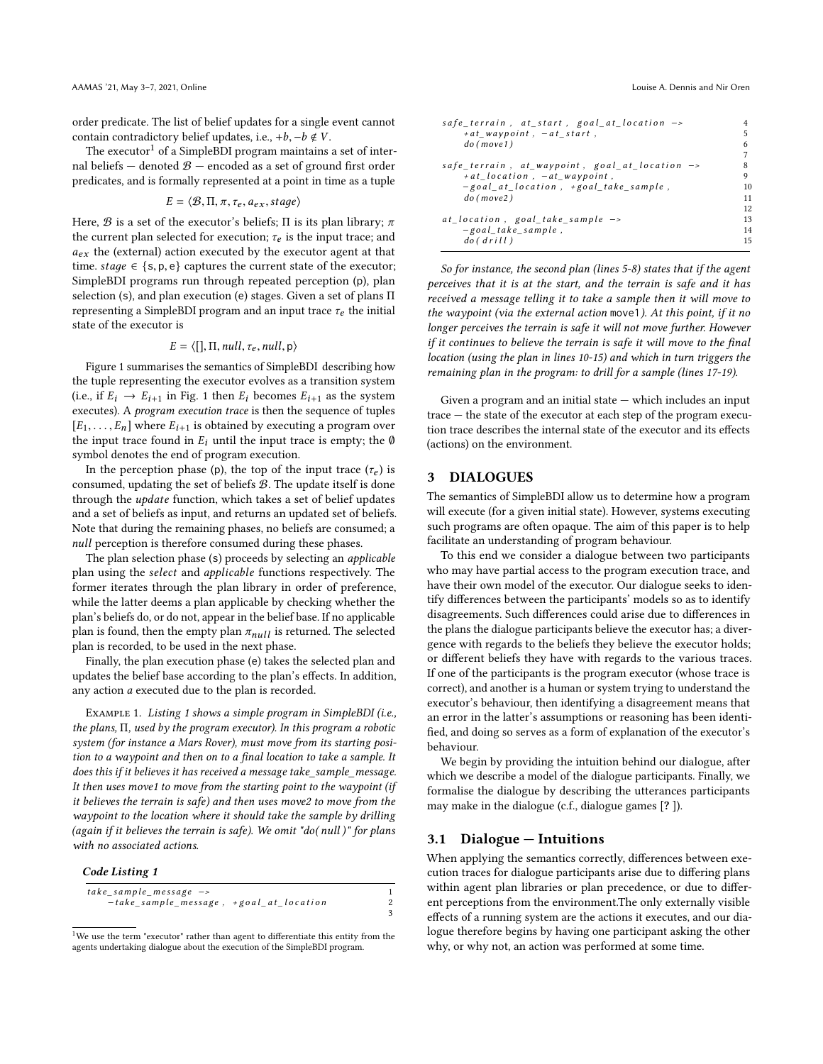order predicate. The list of belief updates for a single event cannot contain contradictory belief updates, i.e.,  $+b$ ,  $-b \notin V$ .

The executor<sup>[1](#page-1-1)</sup> of a SimpleBDI program maintains a set of internal beliefs  $-$  denoted  $\mathcal{B}$   $-$  encoded as a set of ground first order predicates, and is formally represented at a point in time as a tuple

$$
E = \langle \mathcal{B}, \Pi, \pi, \tau_e, a_{ex}, stage \rangle
$$

Here,  $\mathcal B$  is a set of the executor's beliefs;  $\Pi$  is its plan library;  $\pi$ the current plan selected for execution;  $\tau_e$  is the input trace; and  $a_{ex}$  the (external) action executed by the executor agent at that time. stage  $\in \{s, p, e\}$  captures the current state of the executor; SimpleBDI programs run through repeated perception (p), plan selection (s), and plan execution (e) stages. Given a set of plans Π representing a SimpleBDI program and an input trace  $\tau_e$  the initial state of the executor is

$$
E = \langle[], \Pi, null, \tau_e, null, \mathsf{p} \rangle
$$

Figure [1](#page-2-0) summarises the semantics of SimpleBDI describing how the tuple representing the executor evolves as a transition system (i.e., if  $E_i \rightarrow E_{i+1}$  in Fig. [1](#page-2-0) then  $E_i$  becomes  $E_{i+1}$  as the system executes). A program execution trace is then the sequence of tuples  $[E_1, \ldots, E_n]$  where  $E_{i+1}$  is obtained by executing a program over the input trace found in  $E_i$  until the input trace is empty; the Ø symbol denotes the end of program execution.

In the perception phase (p), the top of the input trace  $(\tau_e)$  is consumed, updating the set of beliefs B. The update itself is done through the update function, which takes a set of belief updates and a set of beliefs as input, and returns an updated set of beliefs. Note that during the remaining phases, no beliefs are consumed; a null perception is therefore consumed during these phases.

The plan selection phase (s) proceeds by selecting an applicable plan using the select and applicable functions respectively. The former iterates through the plan library in order of preference, while the latter deems a plan applicable by checking whether the plan's beliefs do, or do not, appear in the belief base. If no applicable plan is found, then the empty plan  $\pi_{null}$  is returned. The selected plan is recorded, to be used in the next phase.

Finally, the plan execution phase (e) takes the selected plan and updates the belief base according to the plan's effects. In addition, any action a executed due to the plan is recorded.

<span id="page-1-4"></span>Example 1. Listing [1](#page-1-2) shows a simple program in SimpleBDI (i.e., the plans, Π, used by the program executor). In this program a robotic system (for instance a Mars Rover), must move from its starting position to a waypoint and then on to a final location to take a sample. It does this if it believes it has received a message take\_sample\_message. It then uses move1 to move from the starting point to the waypoint (if it believes the terrain is safe) and then uses move2 to move from the waypoint to the location where it should take the sample by drilling (again if it believes the terrain is safe). We omit "do( null )" for plans with no associated actions.

#### <span id="page-1-2"></span>Code Listing 1

| take sample message ->                  |  |
|-----------------------------------------|--|
| -take_sample_message, +goal_at_location |  |
|                                         |  |

<span id="page-1-1"></span><sup>&</sup>lt;sup>1</sup>We use the term "executor" rather than agent to differentiate this entity from the agents undertaking dialogue about the execution of the SimpleBDI program.

| $safe_{\text{}}$ terrain, at_start, goal_at_location ->             |    |
|---------------------------------------------------------------------|----|
| $+at$ waypoint, $-at$ start,                                        | 5  |
|                                                                     |    |
| do(move1)                                                           | 6  |
|                                                                     |    |
| $safe\_terrain$ , $at_waypoint$ , $goal_at\_location$ $\rightarrow$ | 8  |
| $+at$ location, $-at$ waypoint,                                     | 9  |
| $-goal_at\_location, +goal\_take\_sample,$                          | 10 |
| do(move2)                                                           | 11 |
|                                                                     | 12 |
| $at\_location$ , goal_take_sample $\rightarrow$                     | 13 |
| $-goal\_take\_sample$ ,                                             | 14 |
| do(drill)                                                           | 15 |
|                                                                     |    |

So for instance, the second plan (lines 5-8) states that if the agent perceives that it is at the start, and the terrain is safe and it has received a message telling it to take a sample then it will move to the waypoint (via the external action move1). At this point, if it no longer perceives the terrain is safe it will not move further. However if it continues to believe the terrain is safe it will move to the final location (using the plan in lines 10-15) and which in turn triggers the remaining plan in the program: to drill for a sample (lines 17-19).

Given a program and an initial state — which includes an input trace — the state of the executor at each step of the program execution trace describes the internal state of the executor and its effects (actions) on the environment.

# <span id="page-1-0"></span>3 DIALOGUES

The semantics of SimpleBDI allow us to determine how a program will execute (for a given initial state). However, systems executing such programs are often opaque. The aim of this paper is to help facilitate an understanding of program behaviour.

To this end we consider a dialogue between two participants who may have partial access to the program execution trace, and have their own model of the executor. Our dialogue seeks to identify differences between the participants' models so as to identify disagreements. Such differences could arise due to differences in the plans the dialogue participants believe the executor has; a divergence with regards to the beliefs they believe the executor holds; or different beliefs they have with regards to the various traces. If one of the participants is the program executor (whose trace is correct), and another is a human or system trying to understand the executor's behaviour, then identifying a disagreement means that an error in the latter's assumptions or reasoning has been identified, and doing so serves as a form of explanation of the executor's behaviour.

We begin by providing the intuition behind our dialogue, after which we describe a model of the dialogue participants. Finally, we formalise the dialogue by describing the utterances participants may make in the dialogue (c.f., dialogue games [? ]).

# <span id="page-1-3"></span>3.1 Dialogue — Intuitions

When applying the semantics correctly, differences between execution traces for dialogue participants arise due to differing plans within agent plan libraries or plan precedence, or due to different perceptions from the environment.The only externally visible effects of a running system are the actions it executes, and our dialogue therefore begins by having one participant asking the other why, or why not, an action was performed at some time.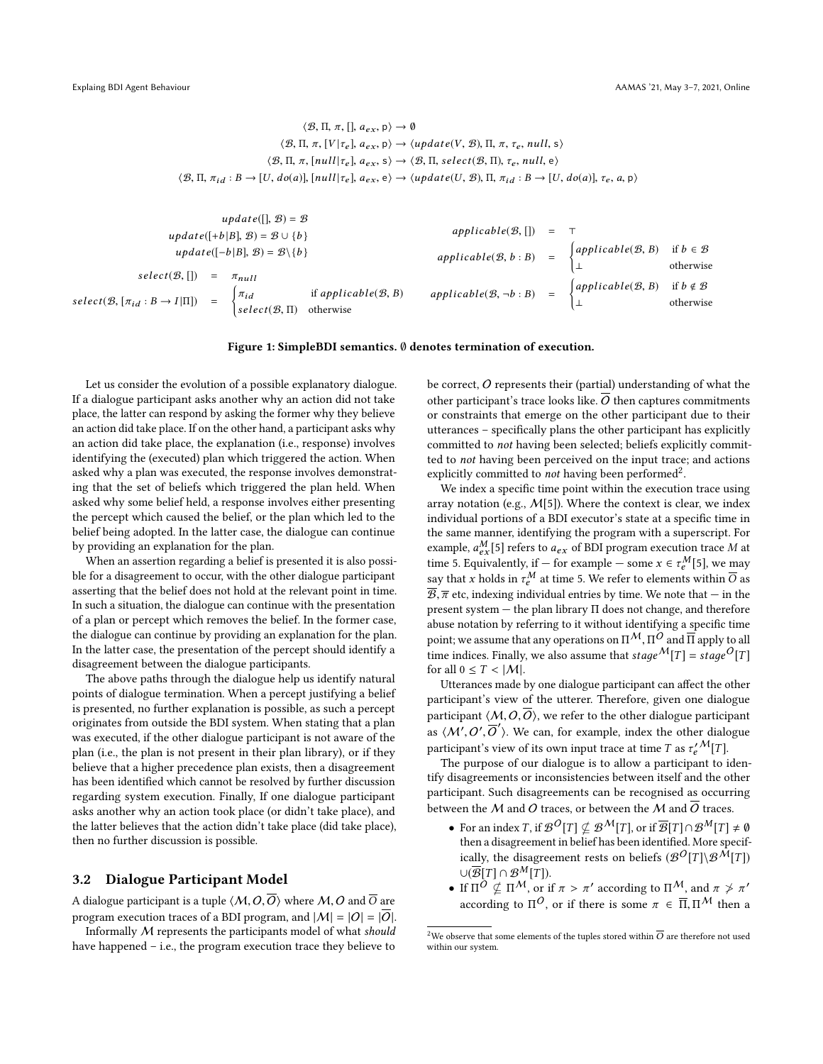<span id="page-2-0"></span> $\langle \mathcal{B}, \Pi, \pi, [\cdot], a_{ex}, \mathsf{p} \rangle \to \emptyset$  $\langle \mathcal{B}, \Pi, \pi, [V | \tau_e], a_{ex}, p \rangle \rightarrow \langle update(V, \mathcal{B}), \Pi, \pi, \tau_e, null, s \rangle$  $\langle \mathcal{B}, \Pi, \pi, [null | \tau_e], a_{ex}, s \rangle \rightarrow \langle \mathcal{B}, \Pi, select(\mathcal{B}, \Pi), \tau_e, null, e \rangle$  $\langle \mathcal{B}, \Pi, \pi_{id} : B \to [U, do(a)], [null|\tau_e], a_{ex}, e \rangle \to \langle update(U, \mathcal{B}), \Pi, \pi_{id} : B \to [U, do(a)], \tau_e, a, p \rangle$ 

|                                                                              |                   | $update([], \mathcal{B}) = \mathcal{B}$                    |                                                |                             |     |                           |                                        |
|------------------------------------------------------------------------------|-------------------|------------------------------------------------------------|------------------------------------------------|-----------------------------|-----|---------------------------|----------------------------------------|
|                                                                              |                   | update([+b B], $\mathcal{B}$ ) = $\mathcal{B} \cup \{b\}$  |                                                | appliedble(B, []            |     |                           |                                        |
|                                                                              |                   | $update([-b B], \mathcal{B}) = \mathcal{B}\backslash\{b\}$ |                                                | appliedble(B, b : B)        | $=$ | $\int applylicable(B, B)$ | if $b \in \mathcal{B}$<br>otherwise    |
| $select(\mathcal{B}, []$<br>$select(B, [\pi_{id}: B \rightarrow I   \Pi]) =$ | $\qquad \qquad =$ | $\pi_{null}$<br>$\pi_{id}$<br>$select(\mathcal{B}, \Pi)$   | if applicable( $\mathcal{B}, B$ )<br>otherwise | $appliedble(B, \neg b : B)$ | $=$ | $\int applylicable(B, B)$ | if $b \notin \mathcal{B}$<br>otherwise |

#### Figure 1: SimpleBDI semantics. ∅ denotes termination of execution.

Let us consider the evolution of a possible explanatory dialogue. If a dialogue participant asks another why an action did not take place, the latter can respond by asking the former why they believe an action did take place. If on the other hand, a participant asks why an action did take place, the explanation (i.e., response) involves identifying the (executed) plan which triggered the action. When asked why a plan was executed, the response involves demonstrating that the set of beliefs which triggered the plan held. When asked why some belief held, a response involves either presenting the percept which caused the belief, or the plan which led to the belief being adopted. In the latter case, the dialogue can continue by providing an explanation for the plan.

When an assertion regarding a belief is presented it is also possible for a disagreement to occur, with the other dialogue participant asserting that the belief does not hold at the relevant point in time. In such a situation, the dialogue can continue with the presentation of a plan or percept which removes the belief. In the former case, the dialogue can continue by providing an explanation for the plan. In the latter case, the presentation of the percept should identify a disagreement between the dialogue participants.

The above paths through the dialogue help us identify natural points of dialogue termination. When a percept justifying a belief is presented, no further explanation is possible, as such a percept originates from outside the BDI system. When stating that a plan was executed, if the other dialogue participant is not aware of the plan (i.e., the plan is not present in their plan library), or if they believe that a higher precedence plan exists, then a disagreement has been identified which cannot be resolved by further discussion regarding system execution. Finally, If one dialogue participant asks another why an action took place (or didn't take place), and the latter believes that the action didn't take place (did take place), then no further discussion is possible.

## 3.2 Dialogue Participant Model

A dialogue participant is a tuple  $\langle M, O, \overline{O} \rangle$  where  $M, O$  and  $\overline{O}$  are program execution traces of a BDI program, and  $|M| = |O| = |\overline{O}|$ .

Informally M represents the participants model of what should have happened – i.e., the program execution trace they believe to be correct,  $O$  represents their (partial) understanding of what the other participant's trace looks like.  $\overline{O}$  then captures commitments or constraints that emerge on the other participant due to their utterances – specifically plans the other participant has explicitly committed to not having been selected; beliefs explicitly committed to not having been perceived on the input trace; and actions explicitly committed to *not* having been performed<sup>[2](#page-2-1)</sup>.

We index a specific time point within the execution trace using array notation (e.g.,  $M[5]$ ). Where the context is clear, we index individual portions of a BDI executor's state at a specific time in the same manner, identifying the program with a superscript. For example,  $a_{cX}^M$ [5] refers to  $a_{ex}$  of BDI program execution trace M at<br>time 5. Equivalently, if – for example – some  $x \in \pi^M$ [5], we may time 5. Equivalently, if — for example — some  $x \in \tau_e^M[5]$ , we may say that x holds in  $\tau_e^M$  at time 5. We refer to elements within  $\overline{O}$  as  $\overline{B}$ ,  $\overline{\pi}$  etc, indexing individual entries by time. We note that  $-$  in the present system  $-$  the plan library  $\Pi$  does not change, and therefore present system  $-$  the plan library  $\Pi$  does not change, and therefore abuse notation by referring to it without identifying a specific time point; we assume that any operations on  $\Pi^M$ ,  $\Pi^O$  and  $\overline{\Pi}$  apply to all<br>time indices. Finally, we also assume that stage  $M[T] = staa^O[T]$ time indices. Finally, we also assume that  $stage^\mathcal{M}[T] = stage^{\mathcal{O}}[T]$ for all  $0 \leq T < |\mathcal{M}|$ .

Utterances made by one dialogue participant can affect the other participant's view of the utterer. Therefore, given one dialogue participant  $\langle M, O, \overline{O} \rangle$ , we refer to the other dialogue participant as  $\langle M', O', \overline{O}' \rangle$ . We can, for example, index the other dialogue participant's view of its own input trace at time  $T$  as  $\tau^{\prime \, \mathcal{M}}_{e}[T].$ 

The purpose of our dialogue is to allow a participant to identify disagreements or inconsistencies between itself and the other participant. Such disagreements can be recognised as occurring between the M and O traces, or between the M and  $\overline{O}$  traces.

- For an index T, if  $\mathcal{B}^O[T] \nsubseteq \mathcal{B}^{\mathcal{M}}[T]$ , or if  $\overline{\mathcal{B}}[T] \cap \mathcal{B}^{\mathcal{M}}[T] \neq \emptyset$ then a disagreement in belief has been identified. More specifically, the disagreement rests on beliefs  $(\mathcal{B}^{\mathcal{O}}[T] \setminus \mathcal{B}^{\mathcal{M}}[T])$  $\cup(\overline{\mathcal{B}}[T]\cap \mathcal{B}^M(T]).$
- If  $\Pi^O \nsubseteq \Pi^M$ , or if  $\pi > \pi'$  according to  $\Pi^M$ , and  $\pi \nless \pi'$ <br>according to  $\Pi^O$  on if there is some  $\pi \in \overline{\Pi} \Pi^M$ , then a according to  $\Pi^O$ , or if there is some  $\pi \in \overline{\Pi}, \Pi^M$  then a

<span id="page-2-1"></span><sup>&</sup>lt;sup>2</sup>We observe that some elements of the tuples stored within  $\overline{O}$  are therefore not used within our system.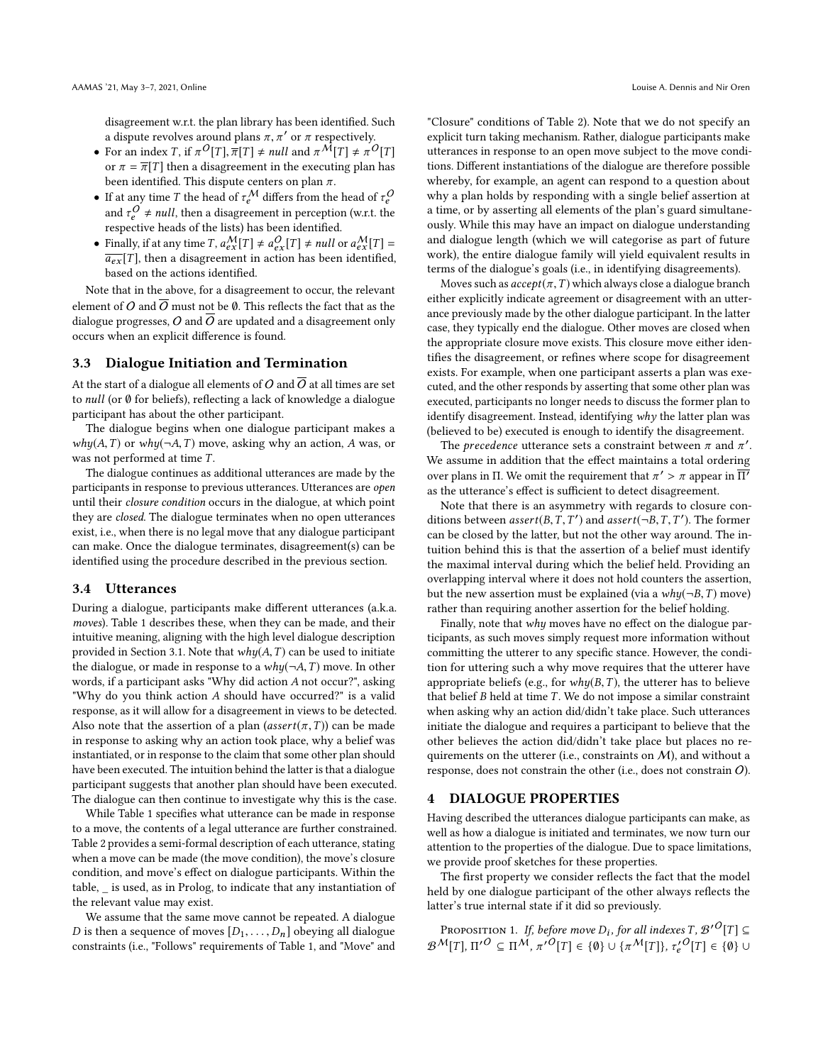disagreement w.r.t. the plan library has been identified. Such a dispute revolves around plans  $\pi$ ,  $\pi'$  or  $\pi$  respectively.

- For an index T, if  $\pi^{O}[T], \overline{\pi}[T] \neq null$  and  $\pi^{M}[T] \neq \pi^{O}[T]$ <br>or  $\pi = \overline{\pi}[T]$  then a discorrespond in the executing plan has or  $\pi = \overline{\pi}[T]$  then a disagreement in the executing plan has been identified. This dispute centers on plan  $\pi$ .
- If at any time T the head of  $\tau_e^M$  differs from the head of  $\tau_e^O$ <br>and  $\tau^O$  + null, then a discorporant in parametian (with the and  $\tau_e^Q \neq null$ , then a disagreement in perception (w.r.t. the respective heads of the lists) has been identified respective heads of the lists) has been identified.
- Finally, if at any time  $T$ ,  $a_{\text{ext}}^{\text{M}}[T] \neq a_{\text{ext}}^{\text{O}}[T] \neq null$  or  $a_{\text{ext}}^{\text{M}}[T] = \frac{1}{\sigma_{\text{ext}}}[T]$ , then a disagreement in action has been identified  $\overline{a_{ex}}[T]$ , then a disagreement in action has been identified, based on the actions identified.

Note that in the above, for a disagreement to occur, the relevant element of O and  $\overline{O}$  must not be Ø. This reflects the fact that as the dialogue progresses,  $O$  and  $O$  are updated and a disagreement only occurs when an explicit difference is found.

#### 3.3 Dialogue Initiation and Termination

At the start of a dialogue all elements of O and  $\overline{O}$  at all times are set to null (or ∅ for beliefs), reflecting a lack of knowledge a dialogue participant has about the other participant.

The dialogue begins when one dialogue participant makes a  $why(A, T)$  or  $why(\neg A, T)$  move, asking why an action, A was, or was not performed at time T.

The dialogue continues as additional utterances are made by the participants in response to previous utterances. Utterances are open until their closure condition occurs in the dialogue, at which point they are closed. The dialogue terminates when no open utterances exist, i.e., when there is no legal move that any dialogue participant can make. Once the dialogue terminates, disagreement(s) can be identified using the procedure described in the previous section.

#### 3.4 Utterances

During a dialogue, participants make different utterances (a.k.a. moves). Table [1](#page-4-0) describes these, when they can be made, and their intuitive meaning, aligning with the high level dialogue description provided in Section [3.1.](#page-1-3) Note that  $why(A, T)$  can be used to initiate the dialogue, or made in response to a  $why(\neg A, T)$  move. In other words, if a participant asks "Why did action A not occur?", asking "Why do you think action A should have occurred?" is a valid response, as it will allow for a disagreement in views to be detected. Also note that the assertion of a plan (assert( $\pi$ , T)) can be made in response to asking why an action took place, why a belief was instantiated, or in response to the claim that some other plan should have been executed. The intuition behind the latter is that a dialogue participant suggests that another plan should have been executed. The dialogue can then continue to investigate why this is the case.

While Table [1](#page-4-0) specifies what utterance can be made in response to a move, the contents of a legal utterance are further constrained. Table [2](#page-5-0) provides a semi-formal description of each utterance, stating when a move can be made (the move condition), the move's closure condition, and move's effect on dialogue participants. Within the table, \_ is used, as in Prolog, to indicate that any instantiation of the relevant value may exist.

We assume that the same move cannot be repeated. A dialogue D is then a sequence of moves  $[D_1, \ldots, D_n]$  obeying all dialogue constraints (i.e., "Follows" requirements of Table [1,](#page-4-0) and "Move" and "Closure" conditions of Table [2\)](#page-5-0). Note that we do not specify an explicit turn taking mechanism. Rather, dialogue participants make utterances in response to an open move subject to the move conditions. Different instantiations of the dialogue are therefore possible whereby, for example, an agent can respond to a question about why a plan holds by responding with a single belief assertion at a time, or by asserting all elements of the plan's guard simultaneously. While this may have an impact on dialogue understanding and dialogue length (which we will categorise as part of future work), the entire dialogue family will yield equivalent results in terms of the dialogue's goals (i.e., in identifying disagreements).

Moves such as  $accept(\pi, T)$  which always close a dialogue branch either explicitly indicate agreement or disagreement with an utterance previously made by the other dialogue participant. In the latter case, they typically end the dialogue. Other moves are closed when the appropriate closure move exists. This closure move either identifies the disagreement, or refines where scope for disagreement exists. For example, when one participant asserts a plan was executed, and the other responds by asserting that some other plan was executed, participants no longer needs to discuss the former plan to identify disagreement. Instead, identifying why the latter plan was (believed to be) executed is enough to identify the disagreement.

The *precedence* utterance sets a constraint between  $\pi$  and  $\pi'$ . We assume in addition that the effect maintains a total ordering over plans in Π. We omit the requirement that  $\pi' > \pi$  appear in  $\overline{\Pi'}$ <br>as the utterance's effect is sufficient to detect disagreement as the utterance's effect is sufficient to detect disagreement.

Note that there is an asymmetry with regards to closure conditions between *assert*( $B, T, T'$ ) and *assert*( $\neg B, T, T'$ ). The former<br>can be closed by the latter, but not the other way around. The incan be closed by the latter, but not the other way around. The intuition behind this is that the assertion of a belief must identify the maximal interval during which the belief held. Providing an overlapping interval where it does not hold counters the assertion, but the new assertion must be explained (via a  $why(\neg B, T)$  move) rather than requiring another assertion for the belief holding.

Finally, note that why moves have no effect on the dialogue participants, as such moves simply request more information without committing the utterer to any specific stance. However, the condition for uttering such a why move requires that the utterer have appropriate beliefs (e.g., for  $why(B, T)$ , the utterer has to believe that belief  $B$  held at time  $T$ . We do not impose a similar constraint when asking why an action did/didn't take place. Such utterances initiate the dialogue and requires a participant to believe that the other believes the action did/didn't take place but places no requirements on the utterer (i.e., constraints on  $M$ ), and without a response, does not constrain the other (i.e., does not constrain O).

## <span id="page-3-0"></span>4 DIALOGUE PROPERTIES

Having described the utterances dialogue participants can make, as well as how a dialogue is initiated and terminates, we now turn our attention to the properties of the dialogue. Due to space limitations, we provide proof sketches for these properties.

The first property we consider reflects the fact that the model held by one dialogue participant of the other always reflects the latter's true internal state if it did so previously.

PROPOSITION 1. If, before move  $D_i$ , for all indexes T,  $\mathcal{B}'^O[T] \subseteq$ <br>MITH  $\pi \prime^O \subset \pi M$   $\rightarrow$   $O[T] \in (0)$  in  $(\rightarrow M[T]) \rightarrow O[T] \in (0)$  in  $\mathcal{B}^{\mathcal{M}}[T], \Pi'^{O} \subseteq \Pi^{\mathcal{M}}, \pi'^{O}[T] \in {\emptyset} \cup {\pi^{\mathcal{M}}[T]}, \tau'_{e}^{\mathcal{O}}[T] \in {\emptyset} \cup$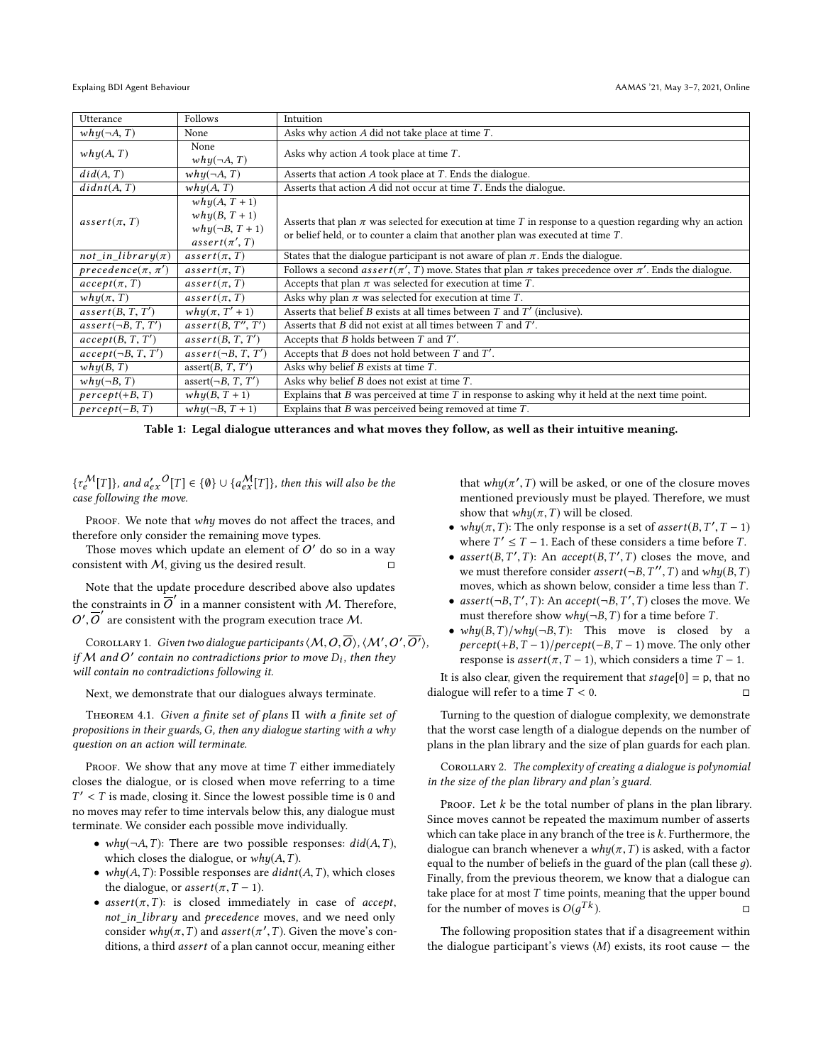<span id="page-4-0"></span>

| Utterance               | Follows                                                                     | Intuition                                                                                                                                                                                            |
|-------------------------|-----------------------------------------------------------------------------|------------------------------------------------------------------------------------------------------------------------------------------------------------------------------------------------------|
| $why(\neg A, T)$        | None                                                                        | Asks why action $A$ did not take place at time $T$ .                                                                                                                                                 |
| why(A, T)               | None<br>$why(\neg A, T)$                                                    | Asks why action $A$ took place at time $T$ .                                                                                                                                                         |
| did(A, T)               | $why(\neg A, T)$                                                            | Asserts that action $A$ took place at $T$ . Ends the dialogue.                                                                                                                                       |
| didnt(A, T)             | why(A, T)                                                                   | Asserts that action $A$ did not occur at time $T$ . Ends the dialogue.                                                                                                                               |
| $assert(\pi, T)$        | $why(A, T + 1)$<br>$why(B, T+1)$<br>$why(\neg B, T+1)$<br>$assert(\pi', T)$ | Asserts that plan $\pi$ was selected for execution at time T in response to a question regarding why an action<br>or belief held, or to counter a claim that another plan was executed at time $T$ . |
| $not_in\_library(\pi)$  | $assert(\pi, T)$                                                            | States that the dialogue participant is not aware of plan $\pi$ . Ends the dialogue.                                                                                                                 |
| $precedence(\pi, \pi')$ | $assert(\pi, T)$                                                            | Follows a second <i>assert</i> ( $\pi$ ', T) move. States that plan $\pi$ takes precedence over $\pi'$ . Ends the dialogue.                                                                          |
| $accept(\pi, T)$        | $assert(\pi, T)$                                                            | Accepts that plan $\pi$ was selected for execution at time $T$ .                                                                                                                                     |
| $whu(\pi, T)$           | $assert(\pi, T)$                                                            | Asks why plan $\pi$ was selected for execution at time T.                                                                                                                                            |
| assert(B, T, T')        | $whu(\pi, T'+1)$                                                            | Asserts that belief $B$ exists at all times between $T$ and $T'$ (inclusive).                                                                                                                        |
| $assert(\neg B, T, T')$ | assert(B, T'', T')                                                          | Asserts that $B$ did not exist at all times between $T$ and $T'$ .                                                                                                                                   |
| accept(B, T, T')        | assert(B, T, T')                                                            | Accepts that $B$ holds between $T$ and $T'$ .                                                                                                                                                        |
| $accept(\neg B, T, T')$ | $assert(\neg B, T, T')$                                                     | Accepts that $B$ does not hold between $T$ and $T'$ .                                                                                                                                                |
| why(B, T)               | assert $(B, T, T')$                                                         | Asks why belief $B$ exists at time $T$ .                                                                                                                                                             |
| $whu(\neg B, T)$        | assert $(\neg B, T, T')$                                                    | Asks why belief $B$ does not exist at time $T$ .                                                                                                                                                     |
| $percept(+B, T)$        | $why(B, T + 1)$                                                             | Explains that $B$ was perceived at time $T$ in response to asking why it held at the next time point.                                                                                                |
| $percept(-B, T)$        | $why(\neg B, T+1)$                                                          | Explains that $B$ was perceived being removed at time $T$ .                                                                                                                                          |

Table 1: Legal dialogue utterances and what moves they follow, as well as their intuitive meaning.

 ${\{\tau_{\epsilon}^{\mathcal{M}}[\![T]\!]\}}$ , and  $a'_{\epsilon x}{}^{\mathcal{O}}[\![T]\!] \in \{\emptyset\} \cup {\{a_{\epsilon x}^{\mathcal{M}}[\![T]\!]\}}$ , then this will also be the case following the move.

PROOF. We note that why moves do not affect the traces, and therefore only consider the remaining move types.

Those moves which update an element of  $O'$  do so in a way consistent with  $M$ , giving us the desired result.  $□$ 

Note that the update procedure described above also updates the constraints in  $\overline{O}'$  in a manner consistent with M. Therefore,  $O', \overline{O}'$  are consistent with the program execution trace M.

COROLLARY 1. Given two dialogue participants  $\langle M, O, \overline{O} \rangle$ ,  $\langle M', O', \overline{O'} \rangle$ ,<br>M, and  $O'$  contain no contradictions prior to move D: then they if M and O' contain no contradictions prior to move  $D_i$ , then they<br>will contain no contradictions following it. will contain no contradictions following it.

Next, we demonstrate that our dialogues always terminate.

<span id="page-4-1"></span>Theorem 4.1. Given a finite set of plans Π with a finite set of propositions in their guards, G, then any dialogue starting with a why question on an action will terminate.

PROOF. We show that any move at time  $T$  either immediately closes the dialogue, or is closed when move referring to a time  $T' < T$  is made, closing it. Since the lowest possible time is 0 and<br>no moves may refer to time intervals below this any dialogue must no moves may refer to time intervals below this, any dialogue must terminate. We consider each possible move individually.

- why $(\neg A, T)$ : There are two possible responses:  $did(A, T)$ , which closes the dialogue, or  $why(A, T)$ .
- why $(A, T)$ : Possible responses are  $didnt(A, T)$ , which closes the dialogue, or  $assert(\pi, T - 1)$ .
- $assert(\pi, T)$ : is closed immediately in case of *accept*, not\_in\_library and precedence moves, and we need only consider  $why(\pi, T)$  and assert( $\pi', T$ ). Given the move's con-<br>ditions a third assert of a plan cannot occur meaning either ditions, a third assert of a plan cannot occur, meaning either

that  $why(\pi', T)$  will be asked, or one of the closure moves<br>mentioned previously must be played. Therefore, we must mentioned previously must be played. Therefore, we must show that  $why(\pi, T)$  will be closed.

- why( $\pi$ , T): The only response is a set of assert( $B$ ,  $T', T 1$ )<br>where  $T' < T 1$  Each of these considers a time before T where  $T' \leq T - 1$ . Each of these considers a time before T.
- assert(B, T', T): An accept(B, T', T) closes the move, and<br>we must therefore consider  $\operatorname{assert}(-B, T'', T)$  and  $\nu \nu \nu (B, T)$ we must therefore consider *assert*( $\neg B$ ,  $T''$ ,  $T$ ) and  $why(B, T)$ <br>moves which as shown below consider a time less than  $T$ moves, which as shown below, consider a time less than T .
- assert( $\neg B, T', T$ ): An accept( $\neg B, T', T$ ) closes the move. We must therefore show whu( $\neg B, T$ ) for a time before  $T$ must therefore show  $why(\neg B, T)$  for a time before T.
- why $(B, T)/why(\neg B, T)$ : This move is closed by a  $percept(+B, T-1)/percept(-B, T-1)$  move. The only other response is *assert*( $\pi$ ,  $T$  – 1), which considers a time  $T$  – 1.

It is also clear, given the requirement that  $stage[0] = p$ , that no dialogue will refer to a time  $T < 0$ .

Turning to the question of dialogue complexity, we demonstrate that the worst case length of a dialogue depends on the number of plans in the plan library and the size of plan guards for each plan.

COROLLARY 2. The complexity of creating a dialogue is polynomial in the size of the plan library and plan's guard.

PROOF. Let  $k$  be the total number of plans in the plan library. Since moves cannot be repeated the maximum number of asserts which can take place in any branch of the tree is  $k$ . Furthermore, the dialogue can branch whenever a  $why(\pi,T)$  is asked, with a factor equal to the number of beliefs in the guard of the plan (call these  $q$ ). Finally, from the previous theorem, we know that a dialogue can take place for at most  $T$  time points, meaning that the upper bound for the number of moves is  $O(q^{Tk})$ .  $\Gamma^k$ ).

The following proposition states that if a disagreement within the dialogue participant's views  $(M)$  exists, its root cause  $-$  the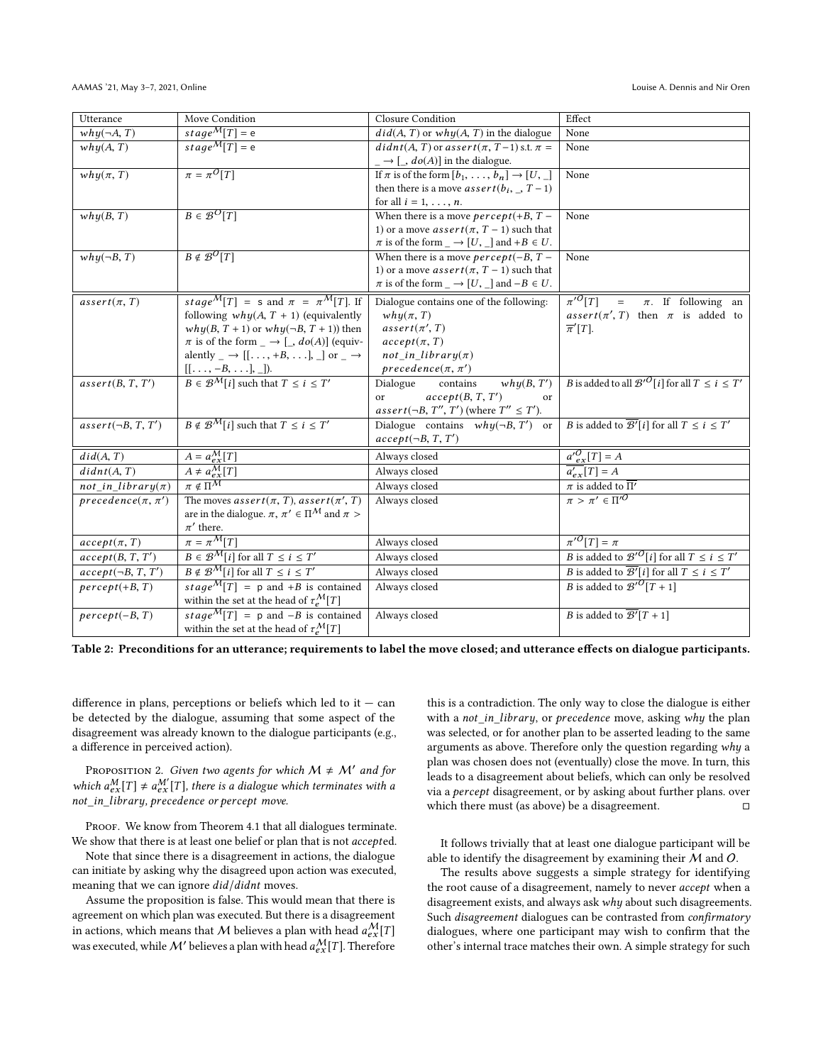<span id="page-5-0"></span>

| $stage^M[T] = e$<br>$why(\neg A, T)$<br>$did(A, T)$ or $why(A, T)$ in the dialogue<br>None<br>$stage^M[T] = e$<br>$didnt(A, T)$ or assert $(\pi, T-1)$ s.t. $\pi =$<br>None<br>why(A, T)<br>$\Box \rightarrow [\Box, do(A)]$ in the dialogue.<br>$\pi = \pi^0[T]$<br>If $\pi$ is of the form $[b_1, \ldots, b_n] \rightarrow [U, \_]$<br>None<br>$why(\pi, T)$<br>then there is a move <i>assert</i> ( $b_i$ , , $T-1$ )<br>for all $i = 1, \ldots, n$ .<br>$B \in \mathcal{B}^{\mathcal{O}}[T]$<br>When there is a move <i>percept</i> (+ <i>B</i> , $T -$<br>why(B, T)<br>None<br>1) or a move <i>assert</i> ( $\pi$ , $T - 1$ ) such that<br>$\pi$ is of the form _ $\rightarrow$ [U, _] and +B $\in$ U.<br>$B \notin \mathcal{B}^{\mathcal{O}}[T]$<br>$whu(\neg B, T)$<br>When there is a move <i>percept</i> ( $-B$ , $T -$<br>None<br>1) or a move <i>assert</i> ( $\pi$ , $T - 1$ ) such that<br>$\pi$ is of the form $\_\rightarrow [U, \_\]$ and $-B \in U$ .<br>$\pi$ <sup>O</sup> [T]<br>stage <sup>M</sup> [T] = s and $\pi = \pi^M[T]$ . If<br>Dialogue contains one of the following:<br>$\pi$ . If following an<br>$assert(\pi, T)$<br>$\equiv$<br>following $why(A, T + 1)$ (equivalently<br>$whu(\pi, T)$<br>assert( $\pi$ ', T) then $\pi$ is added to<br>$why(B, T + 1)$ or $why(\neg B, T + 1)$ ) then<br>$assert(\pi', T)$<br>$\overline{\pi}'[T]$ .<br>$\pi$ is of the form $\Box \rightarrow [\Box, do(A)]$ (equiv-<br>$accept(\pi, T)$<br>alently _ $\rightarrow$ [[, +B, ], _] or _ $\rightarrow$<br>$not_in\_library(\pi)$<br>$precedence(\pi, \pi')$<br>$[[\ldots,-B,\ldots],].$<br>$B \in \mathcal{B}^M[i]$ such that $T \leq i \leq T'$<br><i>B</i> is added to all $\mathcal{B}'^{\mathcal{O}}[i]$ for all $T \leq i \leq T'$<br>Dialogue<br>assert(B, T, T')<br>contains<br>why(B, T')<br>accept(B, T, T')<br><sub>or</sub><br>or<br>assert(¬B, T'', T') (where $T'' \leq T'$ ).<br>$B \notin \mathcal{B}^{\mathcal{M}}[i]$ such that $T \leq i \leq T'$<br><i>B</i> is added to $\overline{\mathcal{B}'}[i]$ for all $T \leq i \leq T'$<br>Dialogue contains $why(\neg B, T')$ or<br>$assert(\neg B, T, T')$<br>$accept(\neg B, T, T')$<br>$a'_{ex}^{O}[T] = A$<br>$A = a_{ex}^{\mathcal{M}}[T]$<br>did(A, T)<br>Always closed<br>$A \neq a_{ex}^M[T]$<br>didnt(A, T)<br>$\overline{a'_{ex}}[T] = A$<br>Always closed<br>$\pi \notin \Pi^{\overline{M}}$<br>$\pi$ is added to $\overline{\Pi'}$<br>$not_in\_library(\pi)$<br>Always closed<br>$\pi > \pi' \in \Pi'^{O}$<br>$precedence(\pi, \pi')$<br>The moves $assert(\pi, T)$ , $assert(\pi', T)$<br>Always closed<br>are in the dialogue. $\pi$ , $\pi' \in \Pi^{\mathcal{M}}$ and $\pi$ ><br>$\pi'$ there.<br>$\pi$ <sup>O</sup> [T] = $\pi$<br>$\pi = \pi^{\overline{M}}[T]$<br>Always closed<br>$accept(\pi, T)$<br><i>B</i> is added to $\mathcal{B}'^{\mathcal{O}}[i]$ for all $T \leq i \leq T'$<br>$B \in \mathcal{B}^M[i]$ for all $T \leq i \leq T'$<br>accept(B, T, T')<br>Always closed<br>$B \notin \mathcal{B}^M[i]$ for all $T \leq i \leq T'$<br><i>B</i> is added to $\overline{\mathcal{B}'}[i]$ for all $T \leq i \leq T'$<br>$accept(\neg B, T, T')$<br>Always closed<br>B is added to $\mathcal{B}'^{\mathcal{O}}[T+1]$<br>stage <sup>M</sup> [T] = p and +B is contained<br>Always closed<br>$percept(+B, T)$<br>within the set at the head of $\tau_e^{\mathcal{M}}[T]$<br>$\frac{stage^M[T]}{p}$ = p and -B is contained<br>Always closed<br><i>B</i> is added to $\overline{\mathcal{B}'}[T+1]$<br>$percept(-B, T)$<br>within the set at the head of $\tau_e^{\mathcal{M}}[T]$ | Utterance | Move Condition | <b>Closure Condition</b> | Effect |
|--------------------------------------------------------------------------------------------------------------------------------------------------------------------------------------------------------------------------------------------------------------------------------------------------------------------------------------------------------------------------------------------------------------------------------------------------------------------------------------------------------------------------------------------------------------------------------------------------------------------------------------------------------------------------------------------------------------------------------------------------------------------------------------------------------------------------------------------------------------------------------------------------------------------------------------------------------------------------------------------------------------------------------------------------------------------------------------------------------------------------------------------------------------------------------------------------------------------------------------------------------------------------------------------------------------------------------------------------------------------------------------------------------------------------------------------------------------------------------------------------------------------------------------------------------------------------------------------------------------------------------------------------------------------------------------------------------------------------------------------------------------------------------------------------------------------------------------------------------------------------------------------------------------------------------------------------------------------------------------------------------------------------------------------------------------------------------------------------------------------------------------------------------------------------------------------------------------------------------------------------------------------------------------------------------------------------------------------------------------------------------------------------------------------------------------------------------------------------------------------------------------------------------------------------------------------------------------------------------------------------------------------------------------------------------------------------------------------------------------------------------------------------------------------------------------------------------------------------------------------------------------------------------------------------------------------------------------------------------------------------------------------------------------------------------------------------------------------------------------------------------------------------------------------------------------------------------------------------------------------------------------------------------------------------------------------------------------------------------------------------------------------------------------------------------------------------------------------------------------------------------------------------------------------------------------------------------------------|-----------|----------------|--------------------------|--------|
|                                                                                                                                                                                                                                                                                                                                                                                                                                                                                                                                                                                                                                                                                                                                                                                                                                                                                                                                                                                                                                                                                                                                                                                                                                                                                                                                                                                                                                                                                                                                                                                                                                                                                                                                                                                                                                                                                                                                                                                                                                                                                                                                                                                                                                                                                                                                                                                                                                                                                                                                                                                                                                                                                                                                                                                                                                                                                                                                                                                                                                                                                                                                                                                                                                                                                                                                                                                                                                                                                                                                                                                            |           |                |                          |        |
|                                                                                                                                                                                                                                                                                                                                                                                                                                                                                                                                                                                                                                                                                                                                                                                                                                                                                                                                                                                                                                                                                                                                                                                                                                                                                                                                                                                                                                                                                                                                                                                                                                                                                                                                                                                                                                                                                                                                                                                                                                                                                                                                                                                                                                                                                                                                                                                                                                                                                                                                                                                                                                                                                                                                                                                                                                                                                                                                                                                                                                                                                                                                                                                                                                                                                                                                                                                                                                                                                                                                                                                            |           |                |                          |        |
|                                                                                                                                                                                                                                                                                                                                                                                                                                                                                                                                                                                                                                                                                                                                                                                                                                                                                                                                                                                                                                                                                                                                                                                                                                                                                                                                                                                                                                                                                                                                                                                                                                                                                                                                                                                                                                                                                                                                                                                                                                                                                                                                                                                                                                                                                                                                                                                                                                                                                                                                                                                                                                                                                                                                                                                                                                                                                                                                                                                                                                                                                                                                                                                                                                                                                                                                                                                                                                                                                                                                                                                            |           |                |                          |        |
|                                                                                                                                                                                                                                                                                                                                                                                                                                                                                                                                                                                                                                                                                                                                                                                                                                                                                                                                                                                                                                                                                                                                                                                                                                                                                                                                                                                                                                                                                                                                                                                                                                                                                                                                                                                                                                                                                                                                                                                                                                                                                                                                                                                                                                                                                                                                                                                                                                                                                                                                                                                                                                                                                                                                                                                                                                                                                                                                                                                                                                                                                                                                                                                                                                                                                                                                                                                                                                                                                                                                                                                            |           |                |                          |        |
|                                                                                                                                                                                                                                                                                                                                                                                                                                                                                                                                                                                                                                                                                                                                                                                                                                                                                                                                                                                                                                                                                                                                                                                                                                                                                                                                                                                                                                                                                                                                                                                                                                                                                                                                                                                                                                                                                                                                                                                                                                                                                                                                                                                                                                                                                                                                                                                                                                                                                                                                                                                                                                                                                                                                                                                                                                                                                                                                                                                                                                                                                                                                                                                                                                                                                                                                                                                                                                                                                                                                                                                            |           |                |                          |        |
|                                                                                                                                                                                                                                                                                                                                                                                                                                                                                                                                                                                                                                                                                                                                                                                                                                                                                                                                                                                                                                                                                                                                                                                                                                                                                                                                                                                                                                                                                                                                                                                                                                                                                                                                                                                                                                                                                                                                                                                                                                                                                                                                                                                                                                                                                                                                                                                                                                                                                                                                                                                                                                                                                                                                                                                                                                                                                                                                                                                                                                                                                                                                                                                                                                                                                                                                                                                                                                                                                                                                                                                            |           |                |                          |        |
|                                                                                                                                                                                                                                                                                                                                                                                                                                                                                                                                                                                                                                                                                                                                                                                                                                                                                                                                                                                                                                                                                                                                                                                                                                                                                                                                                                                                                                                                                                                                                                                                                                                                                                                                                                                                                                                                                                                                                                                                                                                                                                                                                                                                                                                                                                                                                                                                                                                                                                                                                                                                                                                                                                                                                                                                                                                                                                                                                                                                                                                                                                                                                                                                                                                                                                                                                                                                                                                                                                                                                                                            |           |                |                          |        |
|                                                                                                                                                                                                                                                                                                                                                                                                                                                                                                                                                                                                                                                                                                                                                                                                                                                                                                                                                                                                                                                                                                                                                                                                                                                                                                                                                                                                                                                                                                                                                                                                                                                                                                                                                                                                                                                                                                                                                                                                                                                                                                                                                                                                                                                                                                                                                                                                                                                                                                                                                                                                                                                                                                                                                                                                                                                                                                                                                                                                                                                                                                                                                                                                                                                                                                                                                                                                                                                                                                                                                                                            |           |                |                          |        |
|                                                                                                                                                                                                                                                                                                                                                                                                                                                                                                                                                                                                                                                                                                                                                                                                                                                                                                                                                                                                                                                                                                                                                                                                                                                                                                                                                                                                                                                                                                                                                                                                                                                                                                                                                                                                                                                                                                                                                                                                                                                                                                                                                                                                                                                                                                                                                                                                                                                                                                                                                                                                                                                                                                                                                                                                                                                                                                                                                                                                                                                                                                                                                                                                                                                                                                                                                                                                                                                                                                                                                                                            |           |                |                          |        |
|                                                                                                                                                                                                                                                                                                                                                                                                                                                                                                                                                                                                                                                                                                                                                                                                                                                                                                                                                                                                                                                                                                                                                                                                                                                                                                                                                                                                                                                                                                                                                                                                                                                                                                                                                                                                                                                                                                                                                                                                                                                                                                                                                                                                                                                                                                                                                                                                                                                                                                                                                                                                                                                                                                                                                                                                                                                                                                                                                                                                                                                                                                                                                                                                                                                                                                                                                                                                                                                                                                                                                                                            |           |                |                          |        |
|                                                                                                                                                                                                                                                                                                                                                                                                                                                                                                                                                                                                                                                                                                                                                                                                                                                                                                                                                                                                                                                                                                                                                                                                                                                                                                                                                                                                                                                                                                                                                                                                                                                                                                                                                                                                                                                                                                                                                                                                                                                                                                                                                                                                                                                                                                                                                                                                                                                                                                                                                                                                                                                                                                                                                                                                                                                                                                                                                                                                                                                                                                                                                                                                                                                                                                                                                                                                                                                                                                                                                                                            |           |                |                          |        |
|                                                                                                                                                                                                                                                                                                                                                                                                                                                                                                                                                                                                                                                                                                                                                                                                                                                                                                                                                                                                                                                                                                                                                                                                                                                                                                                                                                                                                                                                                                                                                                                                                                                                                                                                                                                                                                                                                                                                                                                                                                                                                                                                                                                                                                                                                                                                                                                                                                                                                                                                                                                                                                                                                                                                                                                                                                                                                                                                                                                                                                                                                                                                                                                                                                                                                                                                                                                                                                                                                                                                                                                            |           |                |                          |        |
|                                                                                                                                                                                                                                                                                                                                                                                                                                                                                                                                                                                                                                                                                                                                                                                                                                                                                                                                                                                                                                                                                                                                                                                                                                                                                                                                                                                                                                                                                                                                                                                                                                                                                                                                                                                                                                                                                                                                                                                                                                                                                                                                                                                                                                                                                                                                                                                                                                                                                                                                                                                                                                                                                                                                                                                                                                                                                                                                                                                                                                                                                                                                                                                                                                                                                                                                                                                                                                                                                                                                                                                            |           |                |                          |        |
|                                                                                                                                                                                                                                                                                                                                                                                                                                                                                                                                                                                                                                                                                                                                                                                                                                                                                                                                                                                                                                                                                                                                                                                                                                                                                                                                                                                                                                                                                                                                                                                                                                                                                                                                                                                                                                                                                                                                                                                                                                                                                                                                                                                                                                                                                                                                                                                                                                                                                                                                                                                                                                                                                                                                                                                                                                                                                                                                                                                                                                                                                                                                                                                                                                                                                                                                                                                                                                                                                                                                                                                            |           |                |                          |        |
|                                                                                                                                                                                                                                                                                                                                                                                                                                                                                                                                                                                                                                                                                                                                                                                                                                                                                                                                                                                                                                                                                                                                                                                                                                                                                                                                                                                                                                                                                                                                                                                                                                                                                                                                                                                                                                                                                                                                                                                                                                                                                                                                                                                                                                                                                                                                                                                                                                                                                                                                                                                                                                                                                                                                                                                                                                                                                                                                                                                                                                                                                                                                                                                                                                                                                                                                                                                                                                                                                                                                                                                            |           |                |                          |        |
|                                                                                                                                                                                                                                                                                                                                                                                                                                                                                                                                                                                                                                                                                                                                                                                                                                                                                                                                                                                                                                                                                                                                                                                                                                                                                                                                                                                                                                                                                                                                                                                                                                                                                                                                                                                                                                                                                                                                                                                                                                                                                                                                                                                                                                                                                                                                                                                                                                                                                                                                                                                                                                                                                                                                                                                                                                                                                                                                                                                                                                                                                                                                                                                                                                                                                                                                                                                                                                                                                                                                                                                            |           |                |                          |        |
|                                                                                                                                                                                                                                                                                                                                                                                                                                                                                                                                                                                                                                                                                                                                                                                                                                                                                                                                                                                                                                                                                                                                                                                                                                                                                                                                                                                                                                                                                                                                                                                                                                                                                                                                                                                                                                                                                                                                                                                                                                                                                                                                                                                                                                                                                                                                                                                                                                                                                                                                                                                                                                                                                                                                                                                                                                                                                                                                                                                                                                                                                                                                                                                                                                                                                                                                                                                                                                                                                                                                                                                            |           |                |                          |        |
|                                                                                                                                                                                                                                                                                                                                                                                                                                                                                                                                                                                                                                                                                                                                                                                                                                                                                                                                                                                                                                                                                                                                                                                                                                                                                                                                                                                                                                                                                                                                                                                                                                                                                                                                                                                                                                                                                                                                                                                                                                                                                                                                                                                                                                                                                                                                                                                                                                                                                                                                                                                                                                                                                                                                                                                                                                                                                                                                                                                                                                                                                                                                                                                                                                                                                                                                                                                                                                                                                                                                                                                            |           |                |                          |        |
|                                                                                                                                                                                                                                                                                                                                                                                                                                                                                                                                                                                                                                                                                                                                                                                                                                                                                                                                                                                                                                                                                                                                                                                                                                                                                                                                                                                                                                                                                                                                                                                                                                                                                                                                                                                                                                                                                                                                                                                                                                                                                                                                                                                                                                                                                                                                                                                                                                                                                                                                                                                                                                                                                                                                                                                                                                                                                                                                                                                                                                                                                                                                                                                                                                                                                                                                                                                                                                                                                                                                                                                            |           |                |                          |        |
|                                                                                                                                                                                                                                                                                                                                                                                                                                                                                                                                                                                                                                                                                                                                                                                                                                                                                                                                                                                                                                                                                                                                                                                                                                                                                                                                                                                                                                                                                                                                                                                                                                                                                                                                                                                                                                                                                                                                                                                                                                                                                                                                                                                                                                                                                                                                                                                                                                                                                                                                                                                                                                                                                                                                                                                                                                                                                                                                                                                                                                                                                                                                                                                                                                                                                                                                                                                                                                                                                                                                                                                            |           |                |                          |        |
|                                                                                                                                                                                                                                                                                                                                                                                                                                                                                                                                                                                                                                                                                                                                                                                                                                                                                                                                                                                                                                                                                                                                                                                                                                                                                                                                                                                                                                                                                                                                                                                                                                                                                                                                                                                                                                                                                                                                                                                                                                                                                                                                                                                                                                                                                                                                                                                                                                                                                                                                                                                                                                                                                                                                                                                                                                                                                                                                                                                                                                                                                                                                                                                                                                                                                                                                                                                                                                                                                                                                                                                            |           |                |                          |        |
|                                                                                                                                                                                                                                                                                                                                                                                                                                                                                                                                                                                                                                                                                                                                                                                                                                                                                                                                                                                                                                                                                                                                                                                                                                                                                                                                                                                                                                                                                                                                                                                                                                                                                                                                                                                                                                                                                                                                                                                                                                                                                                                                                                                                                                                                                                                                                                                                                                                                                                                                                                                                                                                                                                                                                                                                                                                                                                                                                                                                                                                                                                                                                                                                                                                                                                                                                                                                                                                                                                                                                                                            |           |                |                          |        |
|                                                                                                                                                                                                                                                                                                                                                                                                                                                                                                                                                                                                                                                                                                                                                                                                                                                                                                                                                                                                                                                                                                                                                                                                                                                                                                                                                                                                                                                                                                                                                                                                                                                                                                                                                                                                                                                                                                                                                                                                                                                                                                                                                                                                                                                                                                                                                                                                                                                                                                                                                                                                                                                                                                                                                                                                                                                                                                                                                                                                                                                                                                                                                                                                                                                                                                                                                                                                                                                                                                                                                                                            |           |                |                          |        |
|                                                                                                                                                                                                                                                                                                                                                                                                                                                                                                                                                                                                                                                                                                                                                                                                                                                                                                                                                                                                                                                                                                                                                                                                                                                                                                                                                                                                                                                                                                                                                                                                                                                                                                                                                                                                                                                                                                                                                                                                                                                                                                                                                                                                                                                                                                                                                                                                                                                                                                                                                                                                                                                                                                                                                                                                                                                                                                                                                                                                                                                                                                                                                                                                                                                                                                                                                                                                                                                                                                                                                                                            |           |                |                          |        |
|                                                                                                                                                                                                                                                                                                                                                                                                                                                                                                                                                                                                                                                                                                                                                                                                                                                                                                                                                                                                                                                                                                                                                                                                                                                                                                                                                                                                                                                                                                                                                                                                                                                                                                                                                                                                                                                                                                                                                                                                                                                                                                                                                                                                                                                                                                                                                                                                                                                                                                                                                                                                                                                                                                                                                                                                                                                                                                                                                                                                                                                                                                                                                                                                                                                                                                                                                                                                                                                                                                                                                                                            |           |                |                          |        |
|                                                                                                                                                                                                                                                                                                                                                                                                                                                                                                                                                                                                                                                                                                                                                                                                                                                                                                                                                                                                                                                                                                                                                                                                                                                                                                                                                                                                                                                                                                                                                                                                                                                                                                                                                                                                                                                                                                                                                                                                                                                                                                                                                                                                                                                                                                                                                                                                                                                                                                                                                                                                                                                                                                                                                                                                                                                                                                                                                                                                                                                                                                                                                                                                                                                                                                                                                                                                                                                                                                                                                                                            |           |                |                          |        |
|                                                                                                                                                                                                                                                                                                                                                                                                                                                                                                                                                                                                                                                                                                                                                                                                                                                                                                                                                                                                                                                                                                                                                                                                                                                                                                                                                                                                                                                                                                                                                                                                                                                                                                                                                                                                                                                                                                                                                                                                                                                                                                                                                                                                                                                                                                                                                                                                                                                                                                                                                                                                                                                                                                                                                                                                                                                                                                                                                                                                                                                                                                                                                                                                                                                                                                                                                                                                                                                                                                                                                                                            |           |                |                          |        |
|                                                                                                                                                                                                                                                                                                                                                                                                                                                                                                                                                                                                                                                                                                                                                                                                                                                                                                                                                                                                                                                                                                                                                                                                                                                                                                                                                                                                                                                                                                                                                                                                                                                                                                                                                                                                                                                                                                                                                                                                                                                                                                                                                                                                                                                                                                                                                                                                                                                                                                                                                                                                                                                                                                                                                                                                                                                                                                                                                                                                                                                                                                                                                                                                                                                                                                                                                                                                                                                                                                                                                                                            |           |                |                          |        |
|                                                                                                                                                                                                                                                                                                                                                                                                                                                                                                                                                                                                                                                                                                                                                                                                                                                                                                                                                                                                                                                                                                                                                                                                                                                                                                                                                                                                                                                                                                                                                                                                                                                                                                                                                                                                                                                                                                                                                                                                                                                                                                                                                                                                                                                                                                                                                                                                                                                                                                                                                                                                                                                                                                                                                                                                                                                                                                                                                                                                                                                                                                                                                                                                                                                                                                                                                                                                                                                                                                                                                                                            |           |                |                          |        |
|                                                                                                                                                                                                                                                                                                                                                                                                                                                                                                                                                                                                                                                                                                                                                                                                                                                                                                                                                                                                                                                                                                                                                                                                                                                                                                                                                                                                                                                                                                                                                                                                                                                                                                                                                                                                                                                                                                                                                                                                                                                                                                                                                                                                                                                                                                                                                                                                                                                                                                                                                                                                                                                                                                                                                                                                                                                                                                                                                                                                                                                                                                                                                                                                                                                                                                                                                                                                                                                                                                                                                                                            |           |                |                          |        |
|                                                                                                                                                                                                                                                                                                                                                                                                                                                                                                                                                                                                                                                                                                                                                                                                                                                                                                                                                                                                                                                                                                                                                                                                                                                                                                                                                                                                                                                                                                                                                                                                                                                                                                                                                                                                                                                                                                                                                                                                                                                                                                                                                                                                                                                                                                                                                                                                                                                                                                                                                                                                                                                                                                                                                                                                                                                                                                                                                                                                                                                                                                                                                                                                                                                                                                                                                                                                                                                                                                                                                                                            |           |                |                          |        |
|                                                                                                                                                                                                                                                                                                                                                                                                                                                                                                                                                                                                                                                                                                                                                                                                                                                                                                                                                                                                                                                                                                                                                                                                                                                                                                                                                                                                                                                                                                                                                                                                                                                                                                                                                                                                                                                                                                                                                                                                                                                                                                                                                                                                                                                                                                                                                                                                                                                                                                                                                                                                                                                                                                                                                                                                                                                                                                                                                                                                                                                                                                                                                                                                                                                                                                                                                                                                                                                                                                                                                                                            |           |                |                          |        |
|                                                                                                                                                                                                                                                                                                                                                                                                                                                                                                                                                                                                                                                                                                                                                                                                                                                                                                                                                                                                                                                                                                                                                                                                                                                                                                                                                                                                                                                                                                                                                                                                                                                                                                                                                                                                                                                                                                                                                                                                                                                                                                                                                                                                                                                                                                                                                                                                                                                                                                                                                                                                                                                                                                                                                                                                                                                                                                                                                                                                                                                                                                                                                                                                                                                                                                                                                                                                                                                                                                                                                                                            |           |                |                          |        |
|                                                                                                                                                                                                                                                                                                                                                                                                                                                                                                                                                                                                                                                                                                                                                                                                                                                                                                                                                                                                                                                                                                                                                                                                                                                                                                                                                                                                                                                                                                                                                                                                                                                                                                                                                                                                                                                                                                                                                                                                                                                                                                                                                                                                                                                                                                                                                                                                                                                                                                                                                                                                                                                                                                                                                                                                                                                                                                                                                                                                                                                                                                                                                                                                                                                                                                                                                                                                                                                                                                                                                                                            |           |                |                          |        |
|                                                                                                                                                                                                                                                                                                                                                                                                                                                                                                                                                                                                                                                                                                                                                                                                                                                                                                                                                                                                                                                                                                                                                                                                                                                                                                                                                                                                                                                                                                                                                                                                                                                                                                                                                                                                                                                                                                                                                                                                                                                                                                                                                                                                                                                                                                                                                                                                                                                                                                                                                                                                                                                                                                                                                                                                                                                                                                                                                                                                                                                                                                                                                                                                                                                                                                                                                                                                                                                                                                                                                                                            |           |                |                          |        |
|                                                                                                                                                                                                                                                                                                                                                                                                                                                                                                                                                                                                                                                                                                                                                                                                                                                                                                                                                                                                                                                                                                                                                                                                                                                                                                                                                                                                                                                                                                                                                                                                                                                                                                                                                                                                                                                                                                                                                                                                                                                                                                                                                                                                                                                                                                                                                                                                                                                                                                                                                                                                                                                                                                                                                                                                                                                                                                                                                                                                                                                                                                                                                                                                                                                                                                                                                                                                                                                                                                                                                                                            |           |                |                          |        |

Table 2: Preconditions for an utterance; requirements to label the move closed; and utterance effects on dialogue participants.

difference in plans, perceptions or beliefs which led to it  $-$  can  $\,$ be detected by the dialogue, assuming that some aspect of the disagreement was already known to the dialogue participants (e.g., a difference in perceived action).

PROPOSITION 2. Given two agents for which  $M \neq M'$  and for which  $a_{\text{ex}}^{M}$ [T]  $\neq a_{\text{ex}}^{M'}$ [T], there is a dialogue which terminates with a<br>not in library precedence or percept move not\_in\_library, precedence or percept move.

PROOF. We know from Theorem [4.1](#page-4-1) that all dialogues terminate. We show that there is at least one belief or plan that is not *accepted*.

Note that since there is a disagreement in actions, the dialogue can initiate by asking why the disagreed upon action was executed, meaning that we can ignore did/didnt moves.

Assume the proposition is false. This would mean that there is agreement on which plan was executed. But there is a disagreement in actions, which means that M believes a plan with head  $a_{ex}^{\mathcal{M}}[T]$ was executed, while M' believes a plan with head  $a_{ex}^{\mathcal{M}}[T]$ . Therefore this is a contradiction. The only way to close the dialogue is either with a not\_in\_library, or precedence move, asking why the plan was selected, or for another plan to be asserted leading to the same arguments as above. Therefore only the question regarding why a plan was chosen does not (eventually) close the move. In turn, this leads to a disagreement about beliefs, which can only be resolved via a percept disagreement, or by asking about further plans. over which there must (as above) be a disagreement.  $□$ 

It follows trivially that at least one dialogue participant will be able to identify the disagreement by examining their  $M$  and  $O$ .

The results above suggests a simple strategy for identifying the root cause of a disagreement, namely to never accept when a disagreement exists, and always ask why about such disagreements. Such disagreement dialogues can be contrasted from confirmatory dialogues, where one participant may wish to confirm that the other's internal trace matches their own. A simple strategy for such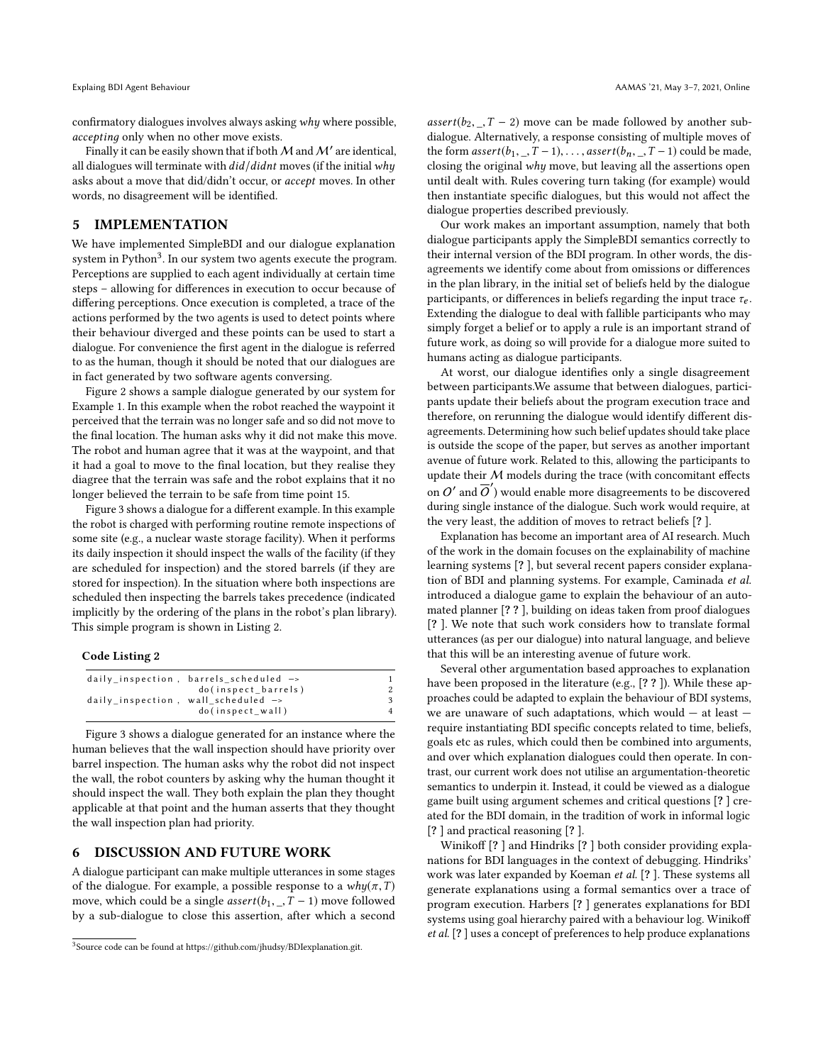confirmatory dialogues involves always asking why where possible, acceptinд only when no other move exists.

Finally it can be easily shown that if both  $\cal M$  and  $\cal M'$  are identical, all dialogues will terminate with  $did/didnt$  moves (if the initial why asks about a move that did/didn't occur, or accept moves. In other words, no disagreement will be identified.

## <span id="page-6-0"></span>5 IMPLEMENTATION

We have implemented SimpleBDI and our dialogue explanation system in Python<sup>[3](#page-6-2)</sup>. In our system two agents execute the program. Perceptions are supplied to each agent individually at certain time steps – allowing for differences in execution to occur because of differing perceptions. Once execution is completed, a trace of the actions performed by the two agents is used to detect points where their behaviour diverged and these points can be used to start a dialogue. For convenience the first agent in the dialogue is referred to as the human, though it should be noted that our dialogues are in fact generated by two software agents conversing.

Figure [2](#page-7-2) shows a sample dialogue generated by our system for Example [1.](#page-1-4) In this example when the robot reached the waypoint it perceived that the terrain was no longer safe and so did not move to the final location. The human asks why it did not make this move. The robot and human agree that it was at the waypoint, and that it had a goal to move to the final location, but they realise they diagree that the terrain was safe and the robot explains that it no longer believed the terrain to be safe from time point 15.

Figure [3](#page-7-3) shows a dialogue for a different example. In this example the robot is charged with performing routine remote inspections of some site (e.g., a nuclear waste storage facility). When it performs its daily inspection it should inspect the walls of the facility (if they are scheduled for inspection) and the stored barrels (if they are stored for inspection). In the situation where both inspections are scheduled then inspecting the barrels takes precedence (indicated implicitly by the ordering of the plans in the robot's plan library). This simple program is shown in Listing [2.](#page-6-3)

## <span id="page-6-3"></span>Code Listing 2

| daily inspection, barrels scheduled $\rightarrow$ |  |
|---------------------------------------------------|--|
| do(inspect barrels)                               |  |
| daily inspection, wall scheduled $\rightarrow$    |  |
| do(inspect wall)                                  |  |

Figure [3](#page-7-3) shows a dialogue generated for an instance where the human believes that the wall inspection should have priority over barrel inspection. The human asks why the robot did not inspect the wall, the robot counters by asking why the human thought it should inspect the wall. They both explain the plan they thought applicable at that point and the human asserts that they thought the wall inspection plan had priority.

## <span id="page-6-1"></span>6 DISCUSSION AND FUTURE WORK

A dialogue participant can make multiple utterances in some stages of the dialogue. For example, a possible response to a  $why(\pi,T)$ move, which could be a single *assert*( $b_1$ , \_, T – 1) move followed by a sub-dialogue to close this assertion, after which a second  $assert(b_2, \_, T - 2)$  move can be made followed by another subdialogue. Alternatively, a response consisting of multiple moves of the form  $assert(b_1, T-1), \ldots, assert(b_n, T-1)$  could be made, closing the original why move, but leaving all the assertions open until dealt with. Rules covering turn taking (for example) would then instantiate specific dialogues, but this would not affect the dialogue properties described previously.

Our work makes an important assumption, namely that both dialogue participants apply the SimpleBDI semantics correctly to their internal version of the BDI program. In other words, the disagreements we identify come about from omissions or differences in the plan library, in the initial set of beliefs held by the dialogue participants, or differences in beliefs regarding the input trace  $\tau_e$ . Extending the dialogue to deal with fallible participants who may simply forget a belief or to apply a rule is an important strand of future work, as doing so will provide for a dialogue more suited to humans acting as dialogue participants.

At worst, our dialogue identifies only a single disagreement between participants.We assume that between dialogues, participants update their beliefs about the program execution trace and therefore, on rerunning the dialogue would identify different disagreements. Determining how such belief updates should take place is outside the scope of the paper, but serves as another important avenue of future work. Related to this, allowing the participants to update their  $M$  models during the trace (with concomitant effects on O' and  $\overline{O}'$ ) would enable more disagreements to be discovered during single instance of the dialogue. Such work would require, at the very least, the addition of moves to retract beliefs [? ].

Explanation has become an important area of AI research. Much of the work in the domain focuses on the explainability of machine learning systems [? ], but several recent papers consider explanation of BDI and planning systems. For example, Caminada et al. introduced a dialogue game to explain the behaviour of an automated planner [? ? ], building on ideas taken from proof dialogues [? ]. We note that such work considers how to translate formal utterances (as per our dialogue) into natural language, and believe that this will be an interesting avenue of future work.

Several other argumentation based approaches to explanation have been proposed in the literature (e.g., [??]). While these approaches could be adapted to explain the behaviour of BDI systems, we are unaware of such adaptations, which would  $-$  at least  $$ require instantiating BDI specific concepts related to time, beliefs, goals etc as rules, which could then be combined into arguments, and over which explanation dialogues could then operate. In contrast, our current work does not utilise an argumentation-theoretic semantics to underpin it. Instead, it could be viewed as a dialogue game built using argument schemes and critical questions [? ] created for the BDI domain, in the tradition of work in informal logic [? ] and practical reasoning [? ].

Winikoff [? ] and Hindriks [? ] both consider providing explanations for BDI languages in the context of debugging. Hindriks' work was later expanded by Koeman et al. [? ]. These systems all generate explanations using a formal semantics over a trace of program execution. Harbers [? ] generates explanations for BDI systems using goal hierarchy paired with a behaviour log. Winikoff et al. [? ] uses a concept of preferences to help produce explanations

<span id="page-6-2"></span><sup>&</sup>lt;sup>3</sup>Source code can be found at https://github.com/ihudsy/BDIexplanation.git.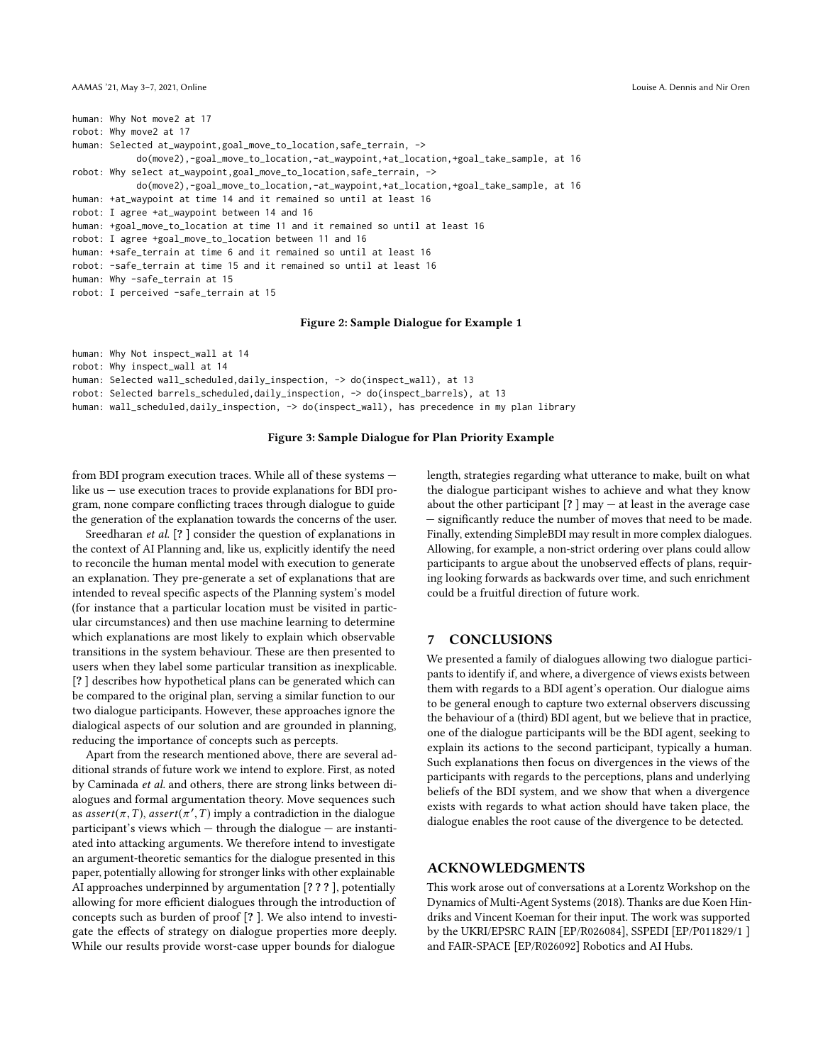<span id="page-7-2"></span><span id="page-7-0"></span>human: Why Not move2 at 17 robot: Why move2 at 17 human: Selected at\_waypoint,goal\_move\_to\_location,safe\_terrain, -> do(move2),-goal\_move\_to\_location,-at\_waypoint,+at\_location,+goal\_take\_sample, at 16 robot: Why select at\_waypoint,goal\_move\_to\_location,safe\_terrain, -> do(move2),-goal\_move\_to\_location,-at\_waypoint,+at\_location,+goal\_take\_sample, at 16 human: +at\_waypoint at time 14 and it remained so until at least 16 robot: I agree +at\_waypoint between 14 and 16 human: +goal\_move\_to\_location at time 11 and it remained so until at least 16 robot: I agree +goal\_move\_to\_location between 11 and 16 human: +safe\_terrain at time 6 and it remained so until at least 16 robot: -safe\_terrain at time 15 and it remained so until at least 16 human: Why -safe\_terrain at 15 robot: I perceived -safe\_terrain at 15

#### Figure 2: Sample Dialogue for Example [1](#page-1-4)

```
human: Why Not inspect_wall at 14
robot: Why inspect_wall at 14
human: Selected wall_scheduled,daily_inspection, -> do(inspect_wall), at 13
robot: Selected barrels_scheduled,daily_inspection, -> do(inspect_barrels), at 13
human: wall_scheduled,daily_inspection, -> do(inspect_wall), has precedence in my plan library
```
#### Figure 3: Sample Dialogue for Plan Priority Example

from BDI program execution traces. While all of these systems like us — use execution traces to provide explanations for BDI program, none compare conflicting traces through dialogue to guide the generation of the explanation towards the concerns of the user.

Sreedharan et al. [? ] consider the question of explanations in the context of AI Planning and, like us, explicitly identify the need to reconcile the human mental model with execution to generate an explanation. They pre-generate a set of explanations that are intended to reveal specific aspects of the Planning system's model (for instance that a particular location must be visited in particular circumstances) and then use machine learning to determine which explanations are most likely to explain which observable transitions in the system behaviour. These are then presented to users when they label some particular transition as inexplicable. [? ] describes how hypothetical plans can be generated which can be compared to the original plan, serving a similar function to our two dialogue participants. However, these approaches ignore the dialogical aspects of our solution and are grounded in planning, reducing the importance of concepts such as percepts.

Apart from the research mentioned above, there are several additional strands of future work we intend to explore. First, as noted by Caminada et al. and others, there are strong links between dialogues and formal argumentation theory. Move sequences such as  $assert(\pi, T)$ ,  $assert(\pi', T)$  imply a contradiction in the dialogue<br>participant's views which – through the dialogue – are instantiparticipant's views which — through the dialogue — are instantiated into attacking arguments. We therefore intend to investigate an argument-theoretic semantics for the dialogue presented in this paper, potentially allowing for stronger links with other explainable AI approaches underpinned by argumentation [? ? ? ], potentially allowing for more efficient dialogues through the introduction of concepts such as burden of proof [? ]. We also intend to investigate the effects of strategy on dialogue properties more deeply. While our results provide worst-case upper bounds for dialogue

length, strategies regarding what utterance to make, built on what the dialogue participant wishes to achieve and what they know about the other participant  $[? \,]$  may  $-$  at least in the average case — significantly reduce the number of moves that need to be made. Finally, extending SimpleBDI may result in more complex dialogues. Allowing, for example, a non-strict ordering over plans could allow participants to argue about the unobserved effects of plans, requiring looking forwards as backwards over time, and such enrichment could be a fruitful direction of future work.

## <span id="page-7-1"></span>7 CONCLUSIONS

We presented a family of dialogues allowing two dialogue participants to identify if, and where, a divergence of views exists between them with regards to a BDI agent's operation. Our dialogue aims to be general enough to capture two external observers discussing the behaviour of a (third) BDI agent, but we believe that in practice, one of the dialogue participants will be the BDI agent, seeking to explain its actions to the second participant, typically a human. Such explanations then focus on divergences in the views of the participants with regards to the perceptions, plans and underlying beliefs of the BDI system, and we show that when a divergence exists with regards to what action should have taken place, the dialogue enables the root cause of the divergence to be detected.

## ACKNOWLEDGMENTS

This work arose out of conversations at a Lorentz Workshop on the Dynamics of Multi-Agent Systems (2018). Thanks are due Koen Hindriks and Vincent Koeman for their input. The work was supported by the UKRI/EPSRC RAIN [EP/R026084], SSPEDI [EP/P011829/1 ] and FAIR-SPACE [EP/R026092] Robotics and AI Hubs.